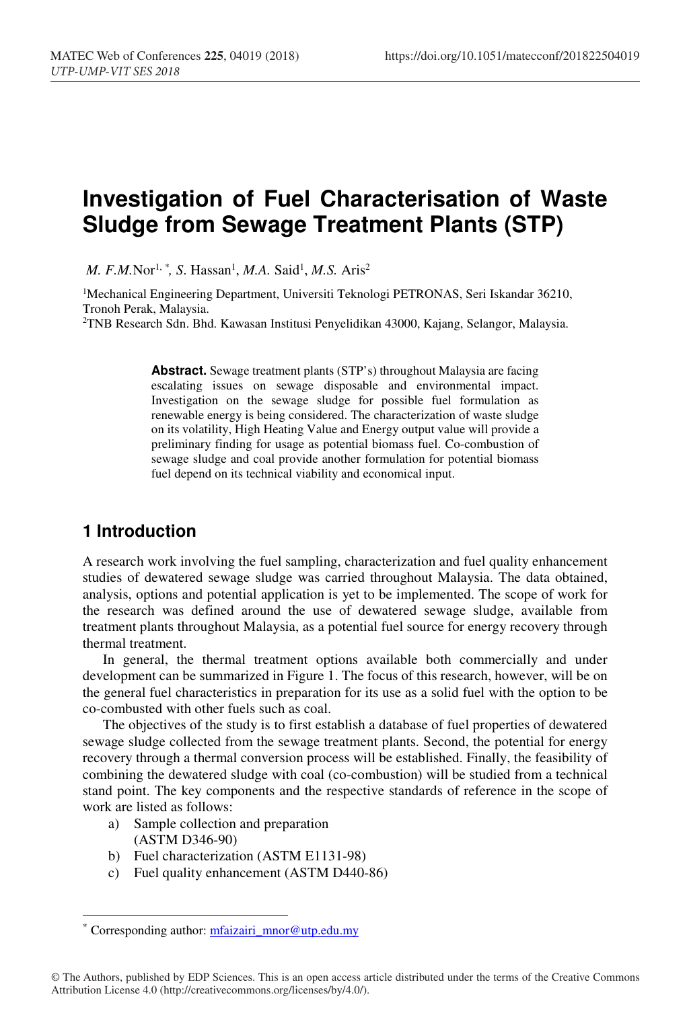# **Investigation of Fuel Characterisation of Waste Sludge from Sewage Treatment Plants (STP)**

*M. F.M.*Nor<sup>1, \*</sup>, *S.* Hassan<sup>1</sup>, *M.A.* Said<sup>1</sup>, *M.S.* Aris<sup>2</sup>

<sup>1</sup>Mechanical Engineering Department, Universiti Teknologi PETRONAS, Seri Iskandar 36210, Tronoh Perak, Malaysia.

2TNB Research Sdn. Bhd. Kawasan Institusi Penyelidikan 43000, Kajang, Selangor, Malaysia.

**Abstract.** Sewage treatment plants (STP's) throughout Malaysia are facing escalating issues on sewage disposable and environmental impact. Investigation on the sewage sludge for possible fuel formulation as renewable energy is being considered. The characterization of waste sludge on its volatility, High Heating Value and Energy output value will provide a preliminary finding for usage as potential biomass fuel. Co-combustion of sewage sludge and coal provide another formulation for potential biomass fuel depend on its technical viability and economical input.

# **1 Introduction**

A research work involving the fuel sampling, characterization and fuel quality enhancement studies of dewatered sewage sludge was carried throughout Malaysia. The data obtained, analysis, options and potential application is yet to be implemented. The scope of work for the research was defined around the use of dewatered sewage sludge, available from treatment plants throughout Malaysia, as a potential fuel source for energy recovery through thermal treatment.

In general, the thermal treatment options available both commercially and under development can be summarized in Figure 1. The focus of this research, however, will be on the general fuel characteristics in preparation for its use as a solid fuel with the option to be co-combusted with other fuels such as coal.

The objectives of the study is to first establish a database of fuel properties of dewatered sewage sludge collected from the sewage treatment plants. Second, the potential for energy recovery through a thermal conversion process will be established. Finally, the feasibility of combining the dewatered sludge with coal (co-combustion) will be studied from a technical stand point. The key components and the respective standards of reference in the scope of work are listed as follows:

- a) Sample collection and preparation (ASTM D346-90)
- b) Fuel characterization (ASTM E1131-98)
- c) Fuel quality enhancement (ASTM D440-86)

<sup>\*</sup> Corresponding author: mfaizairi\_mnor@utp.edu.my

<sup>©</sup> The Authors, published by EDP Sciences. This is an open access article distributed under the terms of the Creative Commons Attribution License 4.0 (http://creativecommons.org/licenses/by/4.0/).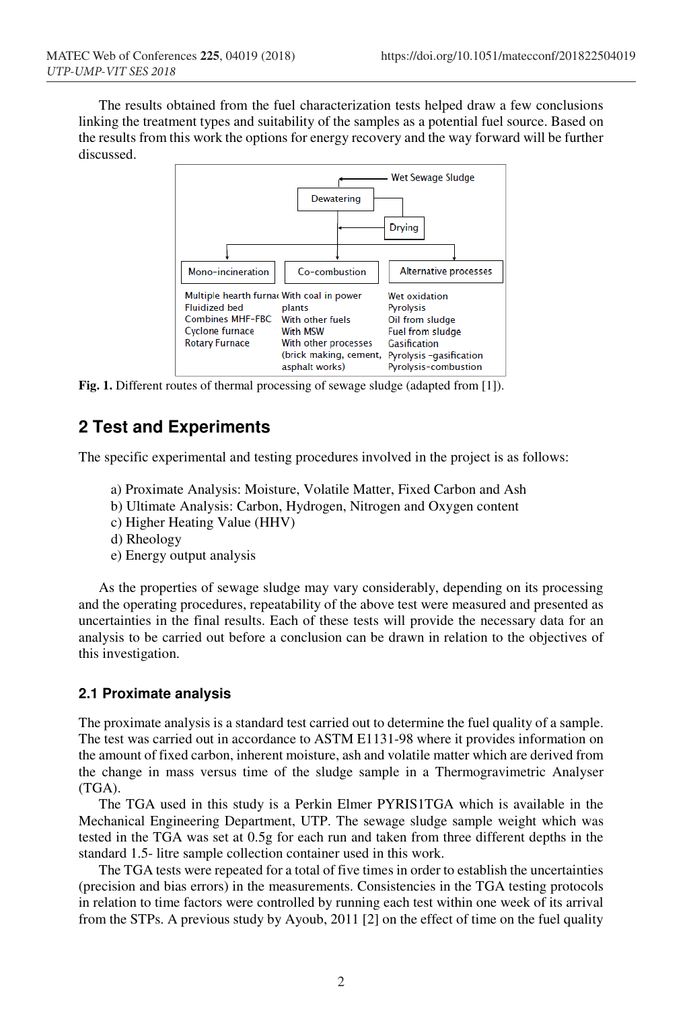The results obtained from the fuel characterization tests helped draw a few conclusions linking the treatment types and suitability of the samples as a potential fuel source. Based on the results from this work the options for energy recovery and the way forward will be further discussed.



Fig. 1. Different routes of thermal processing of sewage sludge (adapted from [1]).

# **2 Test and Experiments**

The specific experimental and testing procedures involved in the project is as follows:

- a) Proximate Analysis: Moisture, Volatile Matter, Fixed Carbon and Ash
- b) Ultimate Analysis: Carbon, Hydrogen, Nitrogen and Oxygen content
- c) Higher Heating Value (HHV)
- d) Rheology
- e) Energy output analysis

As the properties of sewage sludge may vary considerably, depending on its processing and the operating procedures, repeatability of the above test were measured and presented as uncertainties in the final results. Each of these tests will provide the necessary data for an analysis to be carried out before a conclusion can be drawn in relation to the objectives of this investigation.

## **2.1 Proximate analysis**

The proximate analysis is a standard test carried out to determine the fuel quality of a sample. The test was carried out in accordance to ASTM E1131-98 where it provides information on the amount of fixed carbon, inherent moisture, ash and volatile matter which are derived from the change in mass versus time of the sludge sample in a Thermogravimetric Analyser (TGA).

The TGA used in this study is a Perkin Elmer PYRIS1TGA which is available in the Mechanical Engineering Department, UTP. The sewage sludge sample weight which was tested in the TGA was set at 0.5g for each run and taken from three different depths in the standard 1.5- litre sample collection container used in this work.

The TGA tests were repeated for a total of five times in order to establish the uncertainties (precision and bias errors) in the measurements. Consistencies in the TGA testing protocols in relation to time factors were controlled by running each test within one week of its arrival from the STPs. A previous study by Ayoub, 2011 [2] on the effect of time on the fuel quality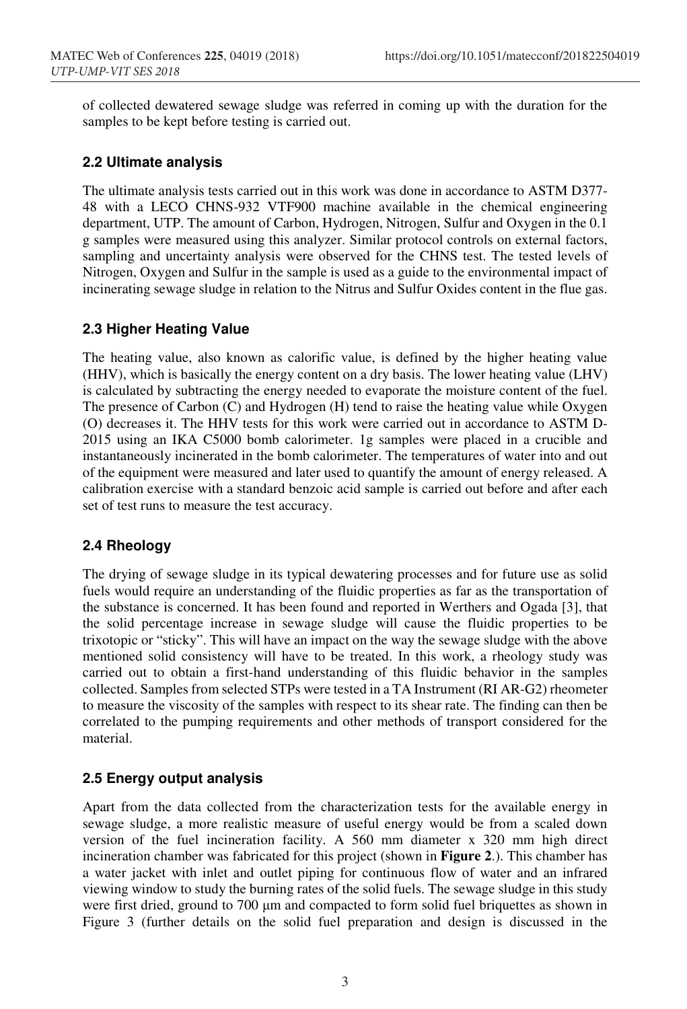of collected dewatered sewage sludge was referred in coming up with the duration for the samples to be kept before testing is carried out.

### **2.2 Ultimate analysis**

The ultimate analysis tests carried out in this work was done in accordance to ASTM D377- 48 with a LECO CHNS-932 VTF900 machine available in the chemical engineering department, UTP. The amount of Carbon, Hydrogen, Nitrogen, Sulfur and Oxygen in the 0.1 g samples were measured using this analyzer. Similar protocol controls on external factors, sampling and uncertainty analysis were observed for the CHNS test. The tested levels of Nitrogen, Oxygen and Sulfur in the sample is used as a guide to the environmental impact of incinerating sewage sludge in relation to the Nitrus and Sulfur Oxides content in the flue gas.

# **2.3 Higher Heating Value**

The heating value, also known as calorific value, is defined by the higher heating value (HHV), which is basically the energy content on a dry basis. The lower heating value (LHV) is calculated by subtracting the energy needed to evaporate the moisture content of the fuel. The presence of Carbon (C) and Hydrogen (H) tend to raise the heating value while Oxygen (O) decreases it. The HHV tests for this work were carried out in accordance to ASTM D-2015 using an IKA C5000 bomb calorimeter. 1g samples were placed in a crucible and instantaneously incinerated in the bomb calorimeter. The temperatures of water into and out of the equipment were measured and later used to quantify the amount of energy released. A calibration exercise with a standard benzoic acid sample is carried out before and after each set of test runs to measure the test accuracy.

# **2.4 Rheology**

The drying of sewage sludge in its typical dewatering processes and for future use as solid fuels would require an understanding of the fluidic properties as far as the transportation of the substance is concerned. It has been found and reported in Werthers and Ogada [3], that the solid percentage increase in sewage sludge will cause the fluidic properties to be trixotopic or "sticky". This will have an impact on the way the sewage sludge with the above mentioned solid consistency will have to be treated. In this work, a rheology study was carried out to obtain a first-hand understanding of this fluidic behavior in the samples collected. Samples from selected STPs were tested in a TA Instrument (RI AR-G2) rheometer to measure the viscosity of the samples with respect to its shear rate. The finding can then be correlated to the pumping requirements and other methods of transport considered for the material.

# **2.5 Energy output analysis**

Apart from the data collected from the characterization tests for the available energy in sewage sludge, a more realistic measure of useful energy would be from a scaled down version of the fuel incineration facility. A 560 mm diameter x 320 mm high direct incineration chamber was fabricated for this project (shown in **Figure 2**.). This chamber has a water jacket with inlet and outlet piping for continuous flow of water and an infrared viewing window to study the burning rates of the solid fuels. The sewage sludge in this study were first dried, ground to  $700 \mu m$  and compacted to form solid fuel briquettes as shown in Figure 3 (further details on the solid fuel preparation and design is discussed in the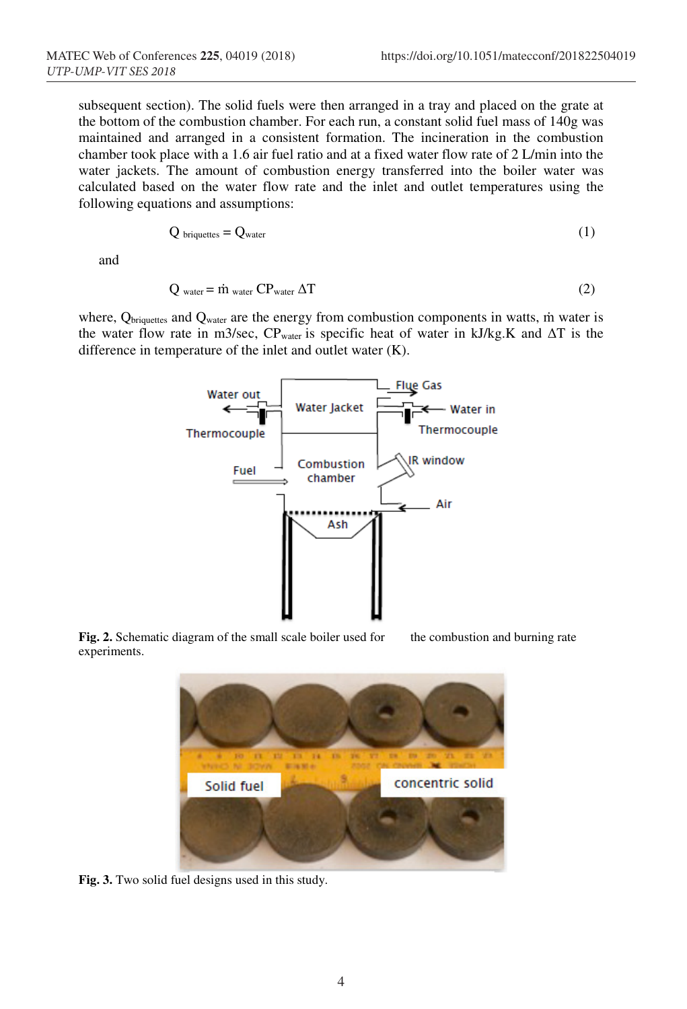subsequent section). The solid fuels were then arranged in a tray and placed on the grate at the bottom of the combustion chamber. For each run, a constant solid fuel mass of 140g was maintained and arranged in a consistent formation. The incineration in the combustion chamber took place with a 1.6 air fuel ratio and at a fixed water flow rate of 2 L/min into the water jackets. The amount of combustion energy transferred into the boiler water was calculated based on the water flow rate and the inlet and outlet temperatures using the following equations and assumptions:

$$
Q_{\text{brauettes}} = Q_{\text{water}} \tag{1}
$$

and

$$
Q_{\text{water}} = \dot{m}_{\text{water}} CP_{\text{water}} \Delta T
$$
 (2)

where,  $Q<sub>briouettes</sub>$  and  $Q<sub>water</sub>$  are the energy from combustion components in watts,  $\dot{m}$  water is the water flow rate in m3/sec, CP<sub>water</sub> is specific heat of water in kJ/kg.K and  $\Delta T$  is the difference in temperature of the inlet and outlet water (K).



**Fig. 2.** Schematic diagram of the small scale boiler used for the combustion and burning rate experiments.



**Fig. 3.** Two solid fuel designs used in this study.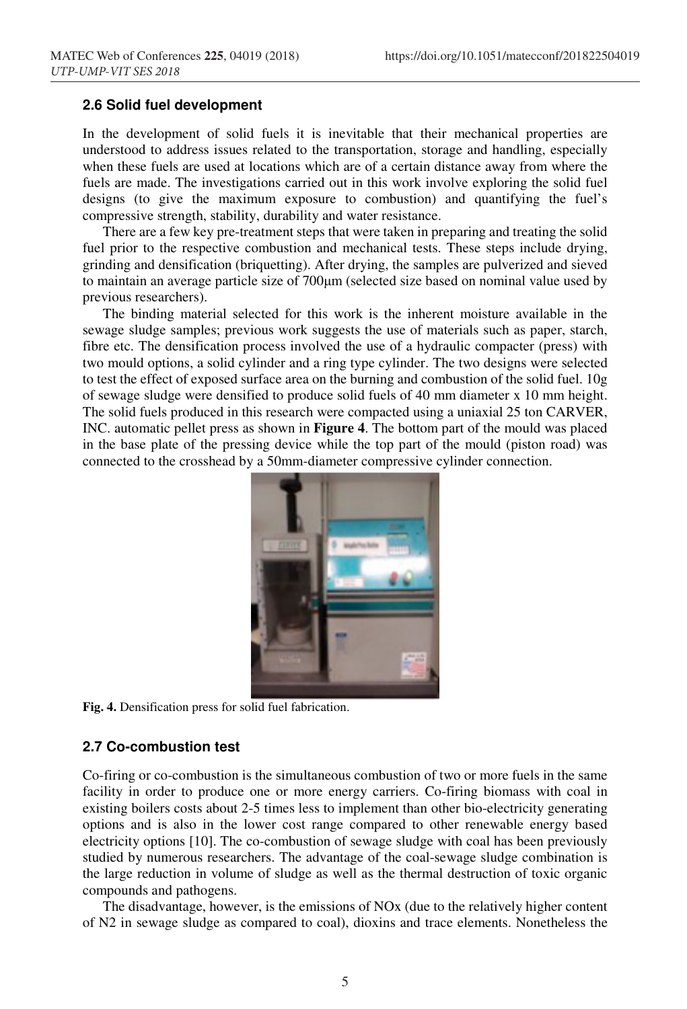### **2.6 Solid fuel development**

In the development of solid fuels it is inevitable that their mechanical properties are understood to address issues related to the transportation, storage and handling, especially when these fuels are used at locations which are of a certain distance away from where the fuels are made. The investigations carried out in this work involve exploring the solid fuel designs (to give the maximum exposure to combustion) and quantifying the fuel's compressive strength, stability, durability and water resistance.

There are a few key pre-treatment steps that were taken in preparing and treating the solid fuel prior to the respective combustion and mechanical tests. These steps include drying, grinding and densification (briquetting). After drying, the samples are pulverized and sieved to maintain an average particle size of 700µm (selected size based on nominal value used by previous researchers).

The binding material selected for this work is the inherent moisture available in the sewage sludge samples; previous work suggests the use of materials such as paper, starch, fibre etc. The densification process involved the use of a hydraulic compacter (press) with two mould options, a solid cylinder and a ring type cylinder. The two designs were selected to test the effect of exposed surface area on the burning and combustion of the solid fuel. 10g of sewage sludge were densified to produce solid fuels of 40 mm diameter x 10 mm height. The solid fuels produced in this research were compacted using a uniaxial 25 ton CARVER, INC. automatic pellet press as shown in **Figure 4**. The bottom part of the mould was placed in the base plate of the pressing device while the top part of the mould (piston road) was connected to the crosshead by a 50mm-diameter compressive cylinder connection.



**Fig. 4.** Densification press for solid fuel fabrication.

## **2.7 Co-combustion test**

Co-firing or co-combustion is the simultaneous combustion of two or more fuels in the same facility in order to produce one or more energy carriers. Co-firing biomass with coal in existing boilers costs about 2-5 times less to implement than other bio-electricity generating options and is also in the lower cost range compared to other renewable energy based electricity options [10]. The co-combustion of sewage sludge with coal has been previously studied by numerous researchers. The advantage of the coal-sewage sludge combination is the large reduction in volume of sludge as well as the thermal destruction of toxic organic compounds and pathogens.

The disadvantage, however, is the emissions of NOx (due to the relatively higher content of N2 in sewage sludge as compared to coal), dioxins and trace elements. Nonetheless the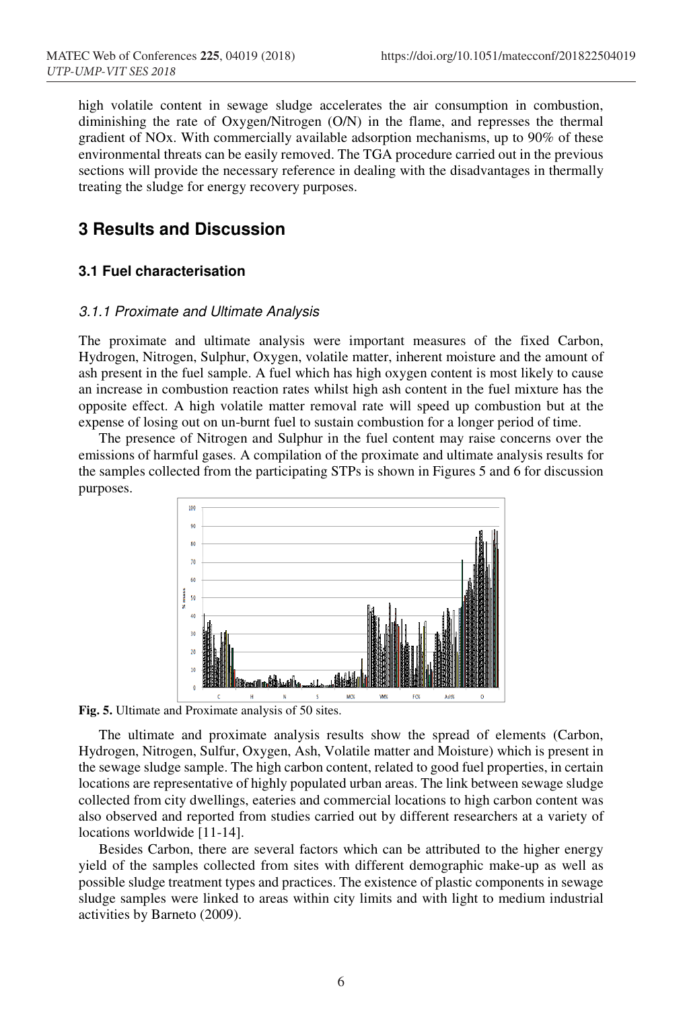high volatile content in sewage sludge accelerates the air consumption in combustion, diminishing the rate of Oxygen/Nitrogen (O/N) in the flame, and represses the thermal gradient of NOx. With commercially available adsorption mechanisms, up to 90% of these environmental threats can be easily removed. The TGA procedure carried out in the previous sections will provide the necessary reference in dealing with the disadvantages in thermally treating the sludge for energy recovery purposes.

# **3 Results and Discussion**

# **3.1 Fuel characterisation**

#### 3.1.1 Proximate and Ultimate Analysis

The proximate and ultimate analysis were important measures of the fixed Carbon, Hydrogen, Nitrogen, Sulphur, Oxygen, volatile matter, inherent moisture and the amount of ash present in the fuel sample. A fuel which has high oxygen content is most likely to cause an increase in combustion reaction rates whilst high ash content in the fuel mixture has the opposite effect. A high volatile matter removal rate will speed up combustion but at the expense of losing out on un-burnt fuel to sustain combustion for a longer period of time.

The presence of Nitrogen and Sulphur in the fuel content may raise concerns over the emissions of harmful gases. A compilation of the proximate and ultimate analysis results for the samples collected from the participating STPs is shown in Figures 5 and 6 for discussion purposes.



**Fig. 5.** Ultimate and Proximate analysis of 50 sites.

The ultimate and proximate analysis results show the spread of elements (Carbon, Hydrogen, Nitrogen, Sulfur, Oxygen, Ash, Volatile matter and Moisture) which is present in the sewage sludge sample. The high carbon content, related to good fuel properties, in certain locations are representative of highly populated urban areas. The link between sewage sludge collected from city dwellings, eateries and commercial locations to high carbon content was also observed and reported from studies carried out by different researchers at a variety of locations worldwide [11-14].

Besides Carbon, there are several factors which can be attributed to the higher energy yield of the samples collected from sites with different demographic make-up as well as possible sludge treatment types and practices. The existence of plastic components in sewage sludge samples were linked to areas within city limits and with light to medium industrial activities by Barneto (2009).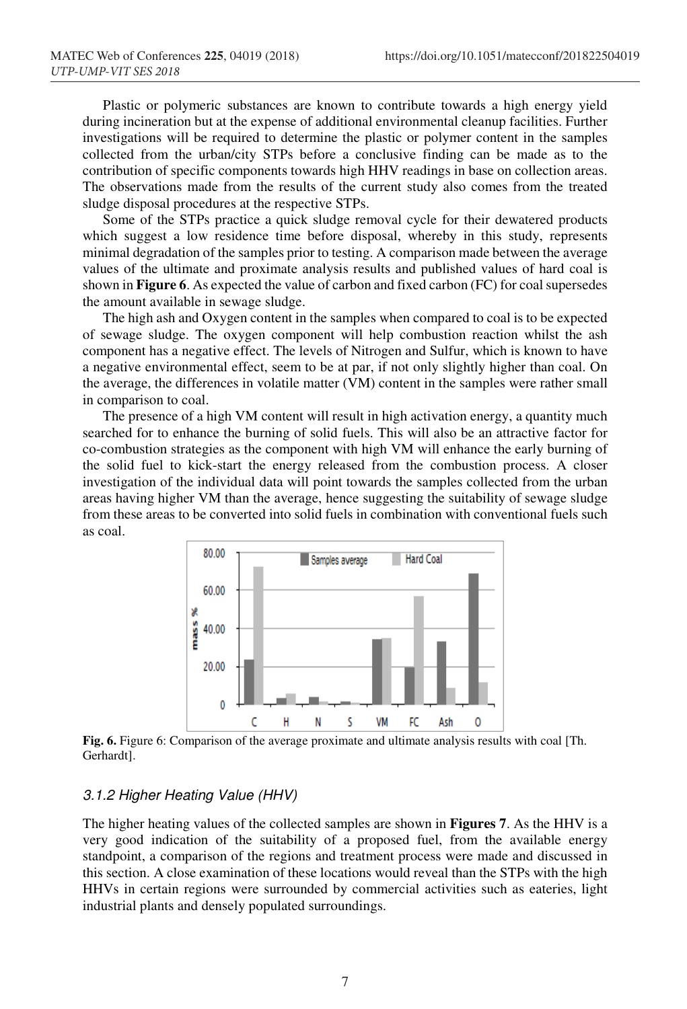Plastic or polymeric substances are known to contribute towards a high energy yield during incineration but at the expense of additional environmental cleanup facilities. Further investigations will be required to determine the plastic or polymer content in the samples collected from the urban/city STPs before a conclusive finding can be made as to the contribution of specific components towards high HHV readings in base on collection areas. The observations made from the results of the current study also comes from the treated sludge disposal procedures at the respective STPs.

Some of the STPs practice a quick sludge removal cycle for their dewatered products which suggest a low residence time before disposal, whereby in this study, represents minimal degradation of the samples prior to testing. A comparison made between the average values of the ultimate and proximate analysis results and published values of hard coal is shown in **Figure 6**. As expected the value of carbon and fixed carbon (FC) for coal supersedes the amount available in sewage sludge.

The high ash and Oxygen content in the samples when compared to coal is to be expected of sewage sludge. The oxygen component will help combustion reaction whilst the ash component has a negative effect. The levels of Nitrogen and Sulfur, which is known to have a negative environmental effect, seem to be at par, if not only slightly higher than coal. On the average, the differences in volatile matter (VM) content in the samples were rather small in comparison to coal.

The presence of a high VM content will result in high activation energy, a quantity much searched for to enhance the burning of solid fuels. This will also be an attractive factor for co-combustion strategies as the component with high VM will enhance the early burning of the solid fuel to kick-start the energy released from the combustion process. A closer investigation of the individual data will point towards the samples collected from the urban areas having higher VM than the average, hence suggesting the suitability of sewage sludge from these areas to be converted into solid fuels in combination with conventional fuels such as coal.



**Fig. 6.** Figure 6: Comparison of the average proximate and ultimate analysis results with coal [Th. Gerhardt].

### 3.1.2 Higher Heating Value (HHV)

The higher heating values of the collected samples are shown in **Figures 7**. As the HHV is a very good indication of the suitability of a proposed fuel, from the available energy standpoint, a comparison of the regions and treatment process were made and discussed in this section. A close examination of these locations would reveal than the STPs with the high HHVs in certain regions were surrounded by commercial activities such as eateries, light industrial plants and densely populated surroundings.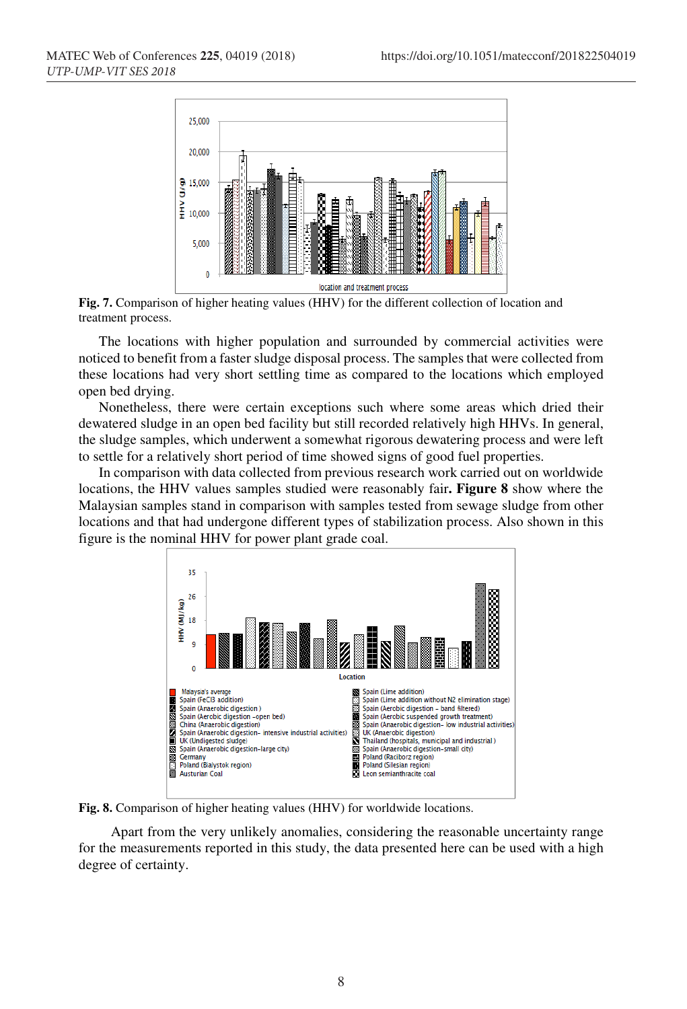

**Fig. 7.** Comparison of higher heating values (HHV) for the different collection of location and treatment process.

The locations with higher population and surrounded by commercial activities were noticed to benefit from a faster sludge disposal process. The samples that were collected from these locations had very short settling time as compared to the locations which employed open bed drying.

Nonetheless, there were certain exceptions such where some areas which dried their dewatered sludge in an open bed facility but still recorded relatively high HHVs. In general, the sludge samples, which underwent a somewhat rigorous dewatering process and were left to settle for a relatively short period of time showed signs of good fuel properties.

In comparison with data collected from previous research work carried out on worldwide locations, the HHV values samples studied were reasonably fair**. Figure 8** show where the Malaysian samples stand in comparison with samples tested from sewage sludge from other locations and that had undergone different types of stabilization process. Also shown in this figure is the nominal HHV for power plant grade coal.



**Fig. 8.** Comparison of higher heating values (HHV) for worldwide locations.

Apart from the very unlikely anomalies, considering the reasonable uncertainty range for the measurements reported in this study, the data presented here can be used with a high degree of certainty.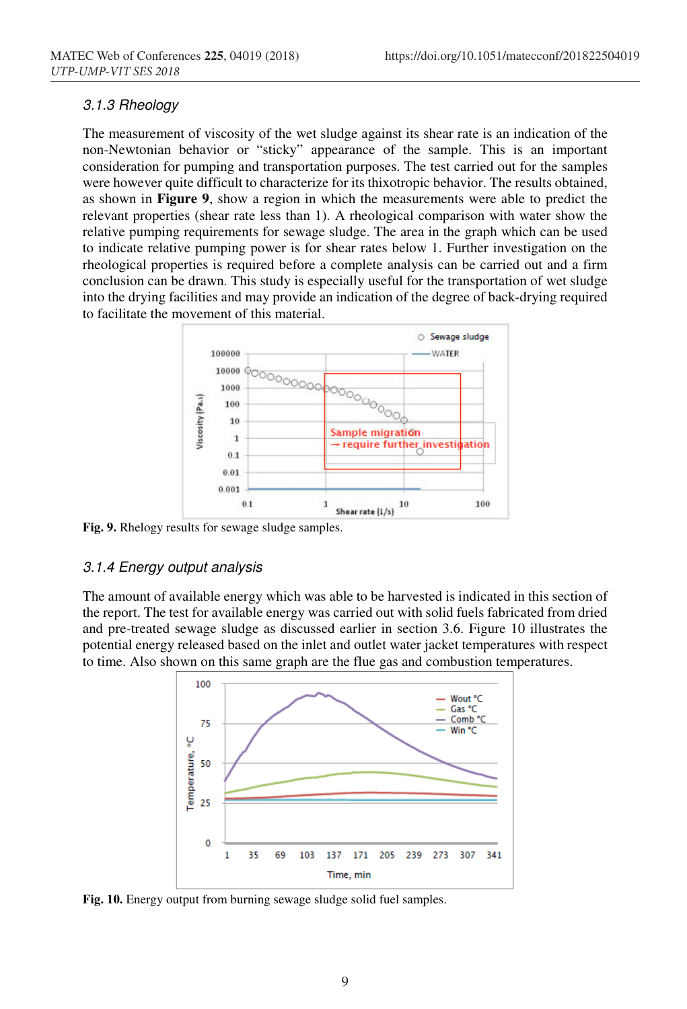#### 3.1.3 Rheology

The measurement of viscosity of the wet sludge against its shear rate is an indication of the non-Newtonian behavior or "sticky" appearance of the sample. This is an important consideration for pumping and transportation purposes. The test carried out for the samples were however quite difficult to characterize for its thixotropic behavior. The results obtained, as shown in **Figure 9**, show a region in which the measurements were able to predict the relevant properties (shear rate less than 1). A rheological comparison with water show the relative pumping requirements for sewage sludge. The area in the graph which can be used to indicate relative pumping power is for shear rates below 1. Further investigation on the rheological properties is required before a complete analysis can be carried out and a firm conclusion can be drawn. This study is especially useful for the transportation of wet sludge into the drying facilities and may provide an indication of the degree of back-drying required to facilitate the movement of this material.



**Fig. 9.** Rhelogy results for sewage sludge samples.

#### 3.1.4 Energy output analysis

The amount of available energy which was able to be harvested is indicated in this section of the report. The test for available energy was carried out with solid fuels fabricated from dried and pre-treated sewage sludge as discussed earlier in section 3.6. Figure 10 illustrates the potential energy released based on the inlet and outlet water jacket temperatures with respect to time. Also shown on this same graph are the flue gas and combustion temperatures.



**Fig. 10.** Energy output from burning sewage sludge solid fuel samples.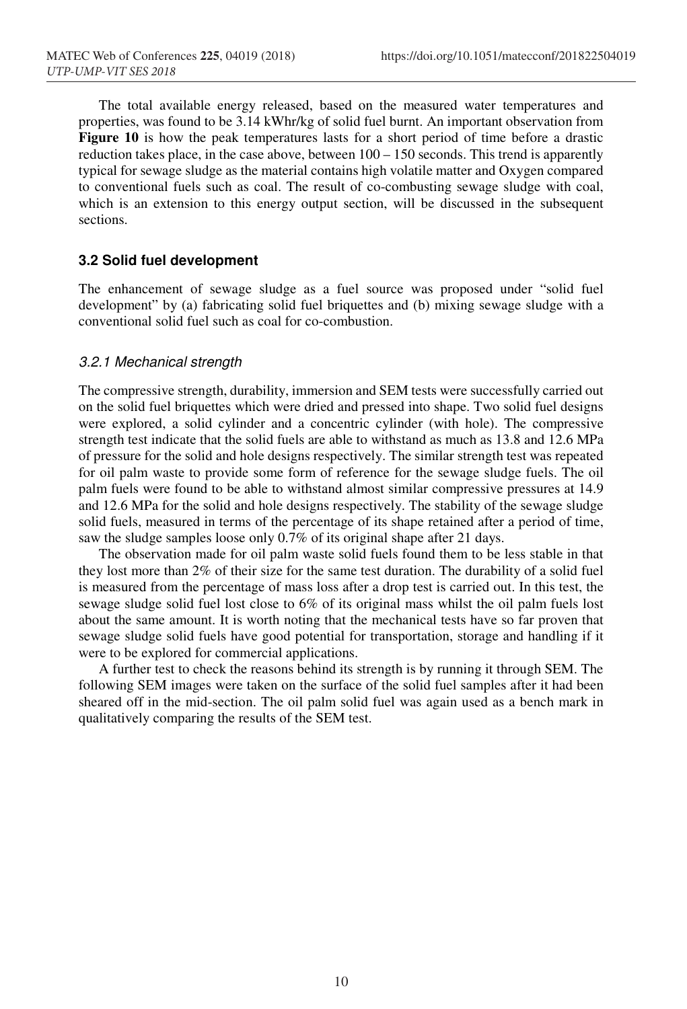The total available energy released, based on the measured water temperatures and properties, was found to be 3.14 kWhr/kg of solid fuel burnt. An important observation from **Figure 10** is how the peak temperatures lasts for a short period of time before a drastic reduction takes place, in the case above, between 100 – 150 seconds. This trend is apparently typical for sewage sludge as the material contains high volatile matter and Oxygen compared to conventional fuels such as coal. The result of co-combusting sewage sludge with coal, which is an extension to this energy output section, will be discussed in the subsequent sections.

### **3.2 Solid fuel development**

The enhancement of sewage sludge as a fuel source was proposed under "solid fuel development" by (a) fabricating solid fuel briquettes and (b) mixing sewage sludge with a conventional solid fuel such as coal for co-combustion.

#### 3.2.1 Mechanical strength

The compressive strength, durability, immersion and SEM tests were successfully carried out on the solid fuel briquettes which were dried and pressed into shape. Two solid fuel designs were explored, a solid cylinder and a concentric cylinder (with hole). The compressive strength test indicate that the solid fuels are able to withstand as much as 13.8 and 12.6 MPa of pressure for the solid and hole designs respectively. The similar strength test was repeated for oil palm waste to provide some form of reference for the sewage sludge fuels. The oil palm fuels were found to be able to withstand almost similar compressive pressures at 14.9 and 12.6 MPa for the solid and hole designs respectively. The stability of the sewage sludge solid fuels, measured in terms of the percentage of its shape retained after a period of time, saw the sludge samples loose only 0.7% of its original shape after 21 days.

The observation made for oil palm waste solid fuels found them to be less stable in that they lost more than 2% of their size for the same test duration. The durability of a solid fuel is measured from the percentage of mass loss after a drop test is carried out. In this test, the sewage sludge solid fuel lost close to 6% of its original mass whilst the oil palm fuels lost about the same amount. It is worth noting that the mechanical tests have so far proven that sewage sludge solid fuels have good potential for transportation, storage and handling if it were to be explored for commercial applications.

A further test to check the reasons behind its strength is by running it through SEM. The following SEM images were taken on the surface of the solid fuel samples after it had been sheared off in the mid-section. The oil palm solid fuel was again used as a bench mark in qualitatively comparing the results of the SEM test.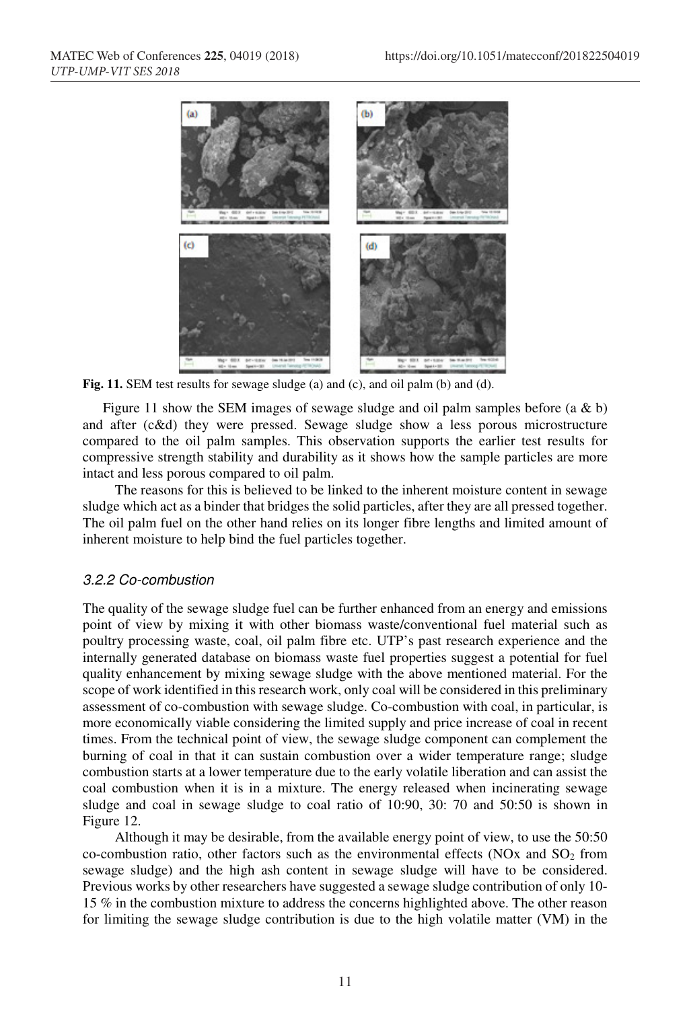

**Fig. 11.** SEM test results for sewage sludge (a) and (c), and oil palm (b) and (d).

Figure 11 show the SEM images of sewage sludge and oil palm samples before (a & b) and after (c&d) they were pressed. Sewage sludge show a less porous microstructure compared to the oil palm samples. This observation supports the earlier test results for compressive strength stability and durability as it shows how the sample particles are more intact and less porous compared to oil palm.

The reasons for this is believed to be linked to the inherent moisture content in sewage sludge which act as a binder that bridges the solid particles, after they are all pressed together. The oil palm fuel on the other hand relies on its longer fibre lengths and limited amount of inherent moisture to help bind the fuel particles together.

### 3.2.2 Co-combustion

The quality of the sewage sludge fuel can be further enhanced from an energy and emissions point of view by mixing it with other biomass waste/conventional fuel material such as poultry processing waste, coal, oil palm fibre etc. UTP's past research experience and the internally generated database on biomass waste fuel properties suggest a potential for fuel quality enhancement by mixing sewage sludge with the above mentioned material. For the scope of work identified in this research work, only coal will be considered in this preliminary assessment of co-combustion with sewage sludge. Co-combustion with coal, in particular, is more economically viable considering the limited supply and price increase of coal in recent times. From the technical point of view, the sewage sludge component can complement the burning of coal in that it can sustain combustion over a wider temperature range; sludge combustion starts at a lower temperature due to the early volatile liberation and can assist the coal combustion when it is in a mixture. The energy released when incinerating sewage sludge and coal in sewage sludge to coal ratio of 10:90, 30: 70 and 50:50 is shown in Figure 12.

Although it may be desirable, from the available energy point of view, to use the 50:50 co-combustion ratio, other factors such as the environmental effects (NOx and  $SO<sub>2</sub>$  from sewage sludge) and the high ash content in sewage sludge will have to be considered. Previous works by other researchers have suggested a sewage sludge contribution of only 10- 15 % in the combustion mixture to address the concerns highlighted above. The other reason for limiting the sewage sludge contribution is due to the high volatile matter (VM) in the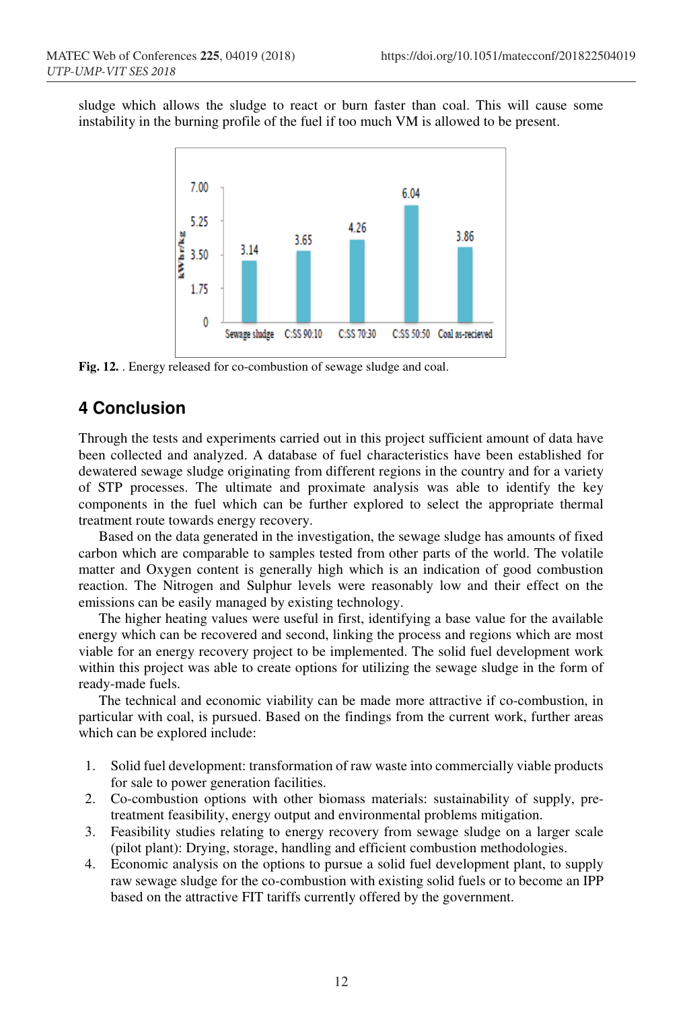sludge which allows the sludge to react or burn faster than coal. This will cause some instability in the burning profile of the fuel if too much VM is allowed to be present.



**Fig. 12.** . Energy released for co-combustion of sewage sludge and coal.

# **4 Conclusion**

Through the tests and experiments carried out in this project sufficient amount of data have been collected and analyzed. A database of fuel characteristics have been established for dewatered sewage sludge originating from different regions in the country and for a variety of STP processes. The ultimate and proximate analysis was able to identify the key components in the fuel which can be further explored to select the appropriate thermal treatment route towards energy recovery.

Based on the data generated in the investigation, the sewage sludge has amounts of fixed carbon which are comparable to samples tested from other parts of the world. The volatile matter and Oxygen content is generally high which is an indication of good combustion reaction. The Nitrogen and Sulphur levels were reasonably low and their effect on the emissions can be easily managed by existing technology.

The higher heating values were useful in first, identifying a base value for the available energy which can be recovered and second, linking the process and regions which are most viable for an energy recovery project to be implemented. The solid fuel development work within this project was able to create options for utilizing the sewage sludge in the form of ready-made fuels.

The technical and economic viability can be made more attractive if co-combustion, in particular with coal, is pursued. Based on the findings from the current work, further areas which can be explored include:

- 1. Solid fuel development: transformation of raw waste into commercially viable products for sale to power generation facilities.
- 2. Co-combustion options with other biomass materials: sustainability of supply, pretreatment feasibility, energy output and environmental problems mitigation.
- 3. Feasibility studies relating to energy recovery from sewage sludge on a larger scale (pilot plant): Drying, storage, handling and efficient combustion methodologies.
- 4. Economic analysis on the options to pursue a solid fuel development plant, to supply raw sewage sludge for the co-combustion with existing solid fuels or to become an IPP based on the attractive FIT tariffs currently offered by the government.